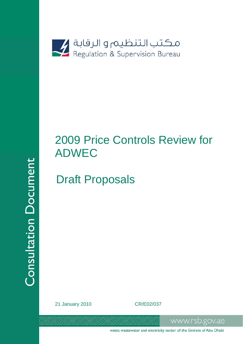

# 2009 Price Controls Review for ADWEC

# Draft Proposals

**Consultation Document** 

21 January 2010 CR/E02/037

water, wastewater and electricity sector of the Emirate of Abu Dhabi

www.rsb.gov.ae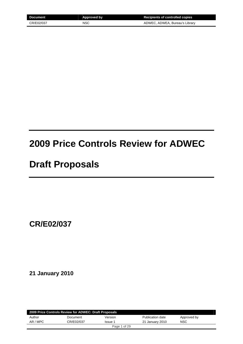| Document   | Approved by | <b>Recipients of controlled copies</b> |
|------------|-------------|----------------------------------------|
| CR/E02/037 | <b>NSC</b>  | ADWEC, ADWEA, Bureau's Library         |

# **2009 Price Controls Review for ADWEC**

# **Draft Proposals**

**CR/E02/037** 

**21 January 2010** 

| 2009 Price Controls Review for ADWEC: Draft Proposals |            |                |                  |             |  |
|-------------------------------------------------------|------------|----------------|------------------|-------------|--|
| Author                                                | Document   | Version        | Publication date | Approved by |  |
| AR / MPC                                              | CR/E02/037 | <b>Issue 1</b> | 21 January 2010  | <b>NSC</b>  |  |
|                                                       |            | Page 1 of 29   |                  |             |  |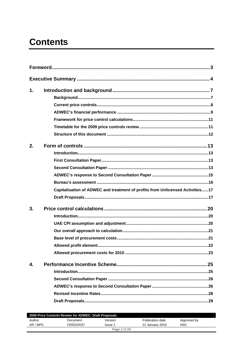# **Contents**

| 1. |                                                                               |
|----|-------------------------------------------------------------------------------|
|    |                                                                               |
|    |                                                                               |
|    |                                                                               |
|    |                                                                               |
|    |                                                                               |
|    |                                                                               |
| 2. |                                                                               |
|    |                                                                               |
|    |                                                                               |
|    |                                                                               |
|    |                                                                               |
|    |                                                                               |
|    | Capitalisation of ADWEC and treatment of profits from Unlicensed Activities17 |
|    |                                                                               |
| 3. |                                                                               |
|    |                                                                               |
|    |                                                                               |
|    |                                                                               |
|    |                                                                               |
|    | 22                                                                            |
|    |                                                                               |
| 4. |                                                                               |
|    |                                                                               |
|    |                                                                               |
|    |                                                                               |
|    |                                                                               |
|    |                                                                               |
|    |                                                                               |

| 2009 Price Controls Review for ADWEC: Draft Proposals |            |         |                  |             |  |
|-------------------------------------------------------|------------|---------|------------------|-------------|--|
| Author                                                | Document   | Version | Publication date | Approved by |  |
| AR / MPC                                              | CR/E02/037 | Issue 1 | 21 January 2010  | NSC         |  |
| Page 2 of 29                                          |            |         |                  |             |  |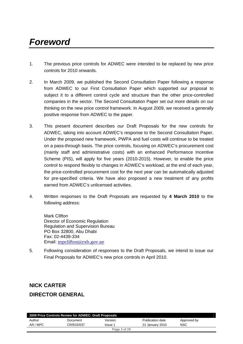# *Foreword*

- 1. The previous price controls for ADWEC were intended to be replaced by new price controls for 2010 onwards.
- 2. In March 2009, we published the Second Consultation Paper following a response from ADWEC to our First Consultation Paper which supported our proposal to subject it to a different control cycle and structure than the other price-controlled companies in the sector. The Second Consultation Paper set out more details on our thinking on the new price control framework. In August 2009, we received a generally positive response from ADWEC to the paper.
- 3. This present document describes our Draft Proposals for the new controls for ADWEC, taking into account ADWEC's response to the Second Consultation Paper. Under the proposed new framework, PWPA and fuel costs will continue to be treated on a pass-through basis. The price controls, focusing on ADWEC's procurement cost (mainly staff and administrative costs) with an enhanced Performance Incentive Scheme (PIS), will apply for five years (2010-2015). However, to enable the price control to respond flexibly to changes in ADWEC's workload, at the end of each year, the price-controlled procurement cost for the next year can be automatically adjusted for pre-specified criteria. We have also proposed a new treatment of any profits earned from ADWEC's unlicensed activities.
- 4. Written responses to the Draft Proposals are requested by **4 March 2010** to the following address:

Mark Clifton Director of Economic Regulation Regulation and Supervision Bureau PO Box 32800, Abu Dhabi Fax: 02-4439-334 Email: mpclifton@rsb.gov.ae

5. Following consideration of responses to the Draft Proposals, we intend to issue our Final Proposals for ADWEC's new price controls in April 2010.

# **NICK CARTER**

# **DIRECTOR GENERAL**

| 2009 Price Controls Review for ADWEC: Draft Proposals |            |              |                  |             |  |
|-------------------------------------------------------|------------|--------------|------------------|-------------|--|
| Author                                                | Document   | Version      | Publication date | Approved by |  |
| AR / MPC                                              | CR/E02/037 | Issue 1      | 21 January 2010  | NSC         |  |
|                                                       |            | Page 3 of 29 |                  |             |  |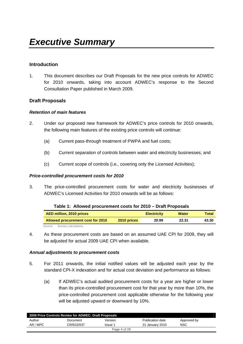#### **Introduction**

1. This document describes our Draft Proposals for the new price controls for ADWEC for 2010 onwards, taking into account ADWEC's response to the Second Consultation Paper published in March 2009.

#### **Draft Proposals**

#### *Retention of main features*

- 2. Under our proposed new framework for ADWEC's price controls for 2010 onwards, the following main features of the existing price controls will continue:
	- (a) Current pass-through treatment of PWPA and fuel costs;
	- (b) Current separation of controls between water and electricity businesses; and
	- (c) Current scope of controls (i.e., covering only the Licensed Activities);

#### *Price-controlled procurement costs for 2010*

3. The price-controlled procurement costs for water and electricity businesses of ADWEC's Licensed Activities for 2010 onwards will be as follows:

| $1400$ $11.7110$ $1100$ $10100$ $10110$ $11100$<br><b>PIGILI IVPVOUD</b> |             |                    |              |       |  |  |  |
|--------------------------------------------------------------------------|-------------|--------------------|--------------|-------|--|--|--|
| AED million, 2010 prices                                                 |             | <b>Electricity</b> | <b>Water</b> | Total |  |  |  |
| Allowed procurement cost for 2010                                        | 2010 prices | 20.99              | 22.31        | 43.30 |  |  |  |
| Bureau calculations<br>Source:                                           |             |                    |              |       |  |  |  |

#### **Table 1: Allowed procurement costs for 2010 – Draft Proposals**

4. As these procurement costs are based on an assumed UAE CPI for 2009, they will be adjusted for actual 2009 UAE CPI when available.

#### *Annual adjustments to procurement costs*

- 5. For 2011 onwards, the initial notified values will be adjusted each year by the standard CPI-X indexation and for actual cost deviation and performance as follows:
	- (a) If ADWEC's actual audited procurement costs for a year are higher or lower than its price-controlled procurement cost for that year by more than 10%, the price-controlled procurement cost applicable otherwise for the following year will be adjusted upward or downward by 10%.

| 2009 Price Controls Review for ADWEC: Draft Proposals |            |         |                  |             |  |
|-------------------------------------------------------|------------|---------|------------------|-------------|--|
| Author                                                | Document   | Version | Publication date | Approved by |  |
| AR / MPC                                              | CR/E02/037 | Issue 1 | 21 January 2010  | NSC         |  |
| Page 4 of 29                                          |            |         |                  |             |  |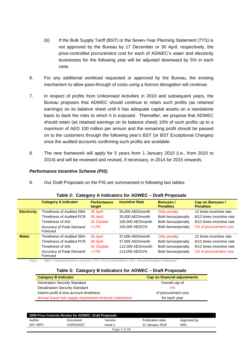- (b) If the Bulk Supply Tariff (BST) or the Seven-Year Planning Statement (7YS) is not approved by the Bureau by 17 December or 30 April, respectively, the price-controlled procurement cost for each of ADWEC's water and electricity businesses for the following year will be adjusted downward by 5% in each case.
- 6. For any additional workload requested or approved by the Bureau, the existing mechanism to allow pass-through of costs using a licence derogation will continue.
- 7. In respect of profits from Unlicensed Activities in 2010 and subsequent years, the Bureau proposes that ADWEC should continue to retain such profits (as retained earnings) on its balance sheet until it has adequate capital assets on a standalone basis to back the risks to which it is exposed. Thereafter, we propose that ADWEC should retain (as retained earnings on its balance sheet) 10% of such profits up to a maximum of AED 100 million per annum and the remaining profit should be passed on to the customers through the following year's BST (or BST Exceptional Charges) once the audited accounts confirming such profits are available.
- 8. The new framework will apply for 5 years from 1 January 2010 (i.e., from 2010 to 2014) and will be reviewed and revised, if necessary, in 2014 for 2015 onwards.

#### *Performance Incentive Scheme (PIS)*

9. Our Draft Proposals on the PIS are summarised in following two tables:

|                    | <b>Category A indicator</b>         | <b>Performance</b><br>target | <b>Incentive Rate</b> | <b>Bonuses /</b><br><b>Penalties</b> | <b>Cap on Bonuses /</b><br><b>Penalties</b> |
|--------------------|-------------------------------------|------------------------------|-----------------------|--------------------------------------|---------------------------------------------|
| <b>Electricity</b> | <b>Timeliness of Audited SBA</b>    | 30 April                     | 35,000 AED/month      | Only penalty                         | 12 times incentive rate                     |
|                    | <b>Timeliness of Audited PCR</b>    | 30 April                     | 35,000 AED/month      | Both bonus/penalty                   | 6/12 times incentive rate                   |
|                    | Timeliness of AIS                   | 31 October                   | 105,000 AED/month     | Both bonus/penalty                   | 6/12 times incentive rate                   |
|                    | Accuracy of Peak Demand<br>Forecast | $+/-2%$                      | 105,000 AED/1%        | Both bonus/penalty                   | 1% of procurement cost                      |
| <b>Water</b>       | Timeliness of Audited SBA           | 30 April                     | 37,000 AED/month      | Only penalty                         | 12 times incentive rate                     |
|                    | <b>Timeliness of Audited PCR</b>    | 30 April                     | 37,000 AED/month      | Both bonus/penalty                   | 6/12 times incentive rate                   |
|                    | Timeliness of AIS                   | 31 October                   | 112,000 AED/month     | Both bonus/penalty                   | 6/12 times incentive rate                   |
|                    | Accuracy of Peak Demand<br>Forecast | $+/-2%$                      | 112,000 AED/1%        | Both bonus/penalty                   | 1% of procurement cost                      |

#### **Table 2: Category A Indicators for ADWEC – Draft Proposals**

Notes: SBAs = Separate Business Accounts; PCR = Price Control Return; AIS = Annual Information Submission

#### **Table 3: Category B Indicators for ADWEC – Draft Proposals**

| <b>Category B Indicator</b>                               | Cap on financial adjustments |
|-----------------------------------------------------------|------------------------------|
| <b>Generation Security Standard</b>                       | Overall cap of               |
| <b>Desalination Security Standard</b>                     | 1%                           |
| Interim profit & loss account timeliness                  | of procurement cost          |
| Annual future fuel supply requirement forecast submission | for each year                |

| 2009 Price Controls Review for ADWEC: Draft Proposals |            |              |                  |             |  |
|-------------------------------------------------------|------------|--------------|------------------|-------------|--|
| Author                                                | Document   | Version      | Publication date | Approved by |  |
| AR / MPC                                              | CR/E02/037 | Issue 1      | 21 January 2010  | NSC         |  |
|                                                       |            | Page 5 of 29 |                  |             |  |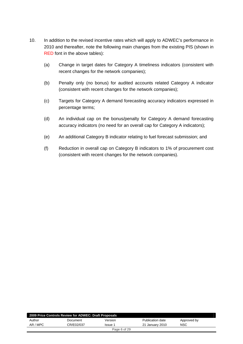- 10. In addition to the revised incentive rates which will apply to ADWEC's performance in 2010 and thereafter, note the following main changes from the existing PIS (shown in RED font in the above tables):
	- (a) Change in target dates for Category A timeliness indicators (consistent with recent changes for the network companies);
	- (b) Penalty only (no bonus) for audited accounts related Category A indicator (consistent with recent changes for the network companies);
	- (c) Targets for Category A demand forecasting accuracy indicators expressed in percentage terms;
	- (d) An individual cap on the bonus/penalty for Category A demand forecasting accuracy indicators (no need for an overall cap for Category A indicators);
	- (e) An additional Category B indicator relating to fuel forecast submission; and
	- (f) Reduction in overall cap on Category B indicators to 1% of procurement cost (consistent with recent changes for the network companies).

| 2009 Price Controls Review for ADWEC: Draft Proposals |            |         |                  |             |  |
|-------------------------------------------------------|------------|---------|------------------|-------------|--|
| Author                                                | Document   | Version | Publication date | Approved by |  |
| AR / MPC                                              | CR/E02/037 | Issue 1 | 21 January 2010  | <b>NSC</b>  |  |
| Page 6 of 29                                          |            |         |                  |             |  |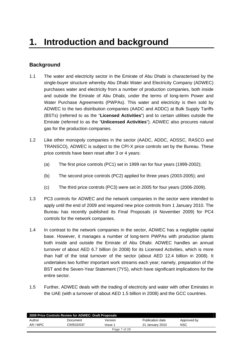# **Background**

- 1.1 The water and electricity sector in the Emirate of Abu Dhabi is characterised by the single-buyer structure whereby Abu Dhabi Water and Electricity Company (ADWEC) purchases water and electricity from a number of production companies, both inside and outside the Emirate of Abu Dhabi, under the terms of long-term Power and Water Purchase Agreements (PWPAs). This water and electricity is then sold by ADWEC to the two distribution companies (AADC and ADDC) at Bulk Supply Tariffs (BSTs) (referred to as the "**Licensed Activities**") and to certain utilities outside the Emirate (referred to as the "**Unlicensed Activities**"). ADWEC also procures natural gas for the production companies.
- 1.2 Like other monopoly companies in the sector (AADC, ADDC, ADSSC, RASCO and TRANSCO), ADWEC is subject to the CPI-X price controls set by the Bureau. These price controls have been reset after 3 or 4 years:
	- (a) The first price controls (PC1) set in 1999 ran for four years (1999-2002);
	- (b) The second price controls (PC2) applied for three years (2003-2005); and
	- (c) The third price controls (PC3) were set in 2005 for four years (2006-2009).
- 1.3 PC3 controls for ADWEC and the network companies in the sector were intended to apply until the end of 2009 and required new price controls from 1 January 2010. The Bureau has recently published its Final Proposals (4 November 2009) for PC4 controls for the network companies.
- 1.4 In contrast to the network companies in the sector, ADWEC has a negligible capital base. However, it manages a number of long-term PWPAs with production plants both inside and outside the Emirate of Abu Dhabi. ADWEC handles an annual turnover of about AED 6.7 billion (in 2008) for its Licensed Activities, which is more than half of the total turnover of the sector (about AED 12.4 billion in 2008). It undertakes two further important work streams each year; namely, preparation of the BST and the Seven-Year Statement (7YS), which have significant implications for the entire sector.
- 1.5 Further, ADWEC deals with the trading of electricity and water with other Emirates in the UAE (with a turnover of about AED 1.5 billion in 2008) and the GCC countries.

| 2009 Price Controls Review for ADWEC: Draft Proposals |            |              |                  |             |  |
|-------------------------------------------------------|------------|--------------|------------------|-------------|--|
| Author                                                | Document   | Version      | Publication date | Approved by |  |
| AR / MPC                                              | CR/E02/037 | Issue 1      | 21 January 2010  | <b>NSC</b>  |  |
|                                                       |            | Page 7 of 29 |                  |             |  |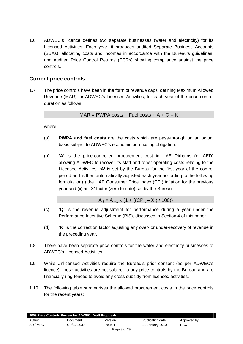1.6 ADWEC's licence defines two separate businesses (water and electricity) for its Licensed Activities. Each year, it produces audited Separate Business Accounts (SBAs), allocating costs and incomes in accordance with the Bureau's guidelines, and audited Price Control Returns (PCRs) showing compliance against the price controls.

# **Current price controls**

1.7 The price controls have been in the form of revenue caps, defining Maximum Allowed Revenue (MAR) for ADWEC's Licensed Activities, for each year of the price control duration as follows:

 $MAR = PWPA \text{ costs } + Fuel \text{ costs } + A + Q - K$ 

where:

- (a) **PWPA and fuel costs** are the costs which are pass-through on an actual basis subject to ADWEC's economic purchasing obligation.
- (b) **'A'** is the price-controlled procurement cost in UAE Dirhams (or AED) allowing ADWEC to recover its staff and other operating costs relating to the Licensed Activities. **'A'** is set by the Bureau for the first year of the control period and is then automatically adjusted each year according to the following formula for (i) the UAE Consumer Price Index (CPI) inflation for the previous year and (ii) an 'X' factor (zero to date) set by the Bureau:

 $A_t = A_{t-1} \times (1 + ((CPI_t - X) / 100))$ 

- (c) **'Q'** is the revenue adjustment for performance during a year under the Performance Incentive Scheme (PIS), discussed in Section 4 of this paper.
- (d) **'K'** is the correction factor adjusting any over- or under-recovery of revenue in the preceding year.
- 1.8 There have been separate price controls for the water and electricity businesses of ADWEC's Licensed Activities.
- 1.9 While Unlicensed Activities require the Bureau's prior consent (as per ADWEC's licence), these activities are not subject to any price controls by the Bureau and are financially ring-fenced to avoid any cross subsidy from licensed activities.
- 1.10 The following table summarises the allowed procurement costs in the price controls for the recent years:

|          | 2009 Price Controls Review for ADWEC: Draft Proposals |              |                  |             |  |
|----------|-------------------------------------------------------|--------------|------------------|-------------|--|
| Author   | Document                                              | Version      | Publication date | Approved by |  |
| AR / MPC | CR/E02/037                                            | Issue 1      | 21 January 2010  | <b>NSC</b>  |  |
|          |                                                       | Page 8 of 29 |                  |             |  |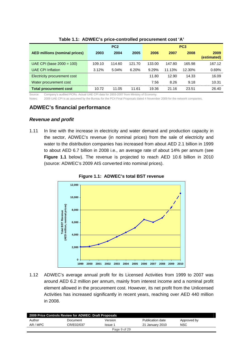|                                      |        | PC <sub>2</sub> |        |        |        | PC <sub>3</sub> |                     |  |
|--------------------------------------|--------|-----------------|--------|--------|--------|-----------------|---------------------|--|
| <b>AED millions (nominal prices)</b> | 2003   | 2004            | 2005   | 2006   | 2007   | 2008            | 2009<br>(estimated) |  |
| UAE CPI (base $2000 = 100$ )         | 109.10 | 114.60          | 121.70 | 133.00 | 147.80 | 165.98          | 167.12              |  |
| <b>UAE CPI Inflation</b>             | 3.12%  | 5.04%           | 6.20%  | 9.29%  | 11.13% | 12.30%          | 0.69%               |  |
| Electricity procurement cost         |        |                 |        | 11.80  | 12.90  | 14.33           | 16.09               |  |
| Water procurement cost               |        |                 |        | 7.56   | 8.26   | 9.18            | 10.31               |  |
| <b>Total procurement cost</b>        | 10.72  | 11.05           | 11.61  | 19.36  | 21.16  | 23.51           | 26.40               |  |

#### **Table 1.1: ADWEC's price-controlled procurement cost 'A'**

Source: Company's audited PCRs. Actual UAE CPI data for 2003-2007 from Ministry of Economy.

Notes: 2009 UAE CPI is as assumed by the Bureau for the PC4 Final Proposals dated 4 November 2009 for the network companies.

## **ADWEC's financial performance**

#### *Revenue and profit*

1.11 In line with the increase in electricity and water demand and production capacity in the sector, ADWEC's revenue (in nominal prices) from the sale of electricity and water to the distribution companies has increased from about AED 2.1 billion in 1999 to about AED 6.7 billion in 2008 i.e., an average rate of about 14% per annum (see **Figure 1.1** below). The revenue is projected to reach AED 10.6 billion in 2010 (source: ADWEC's 2009 AIS converted into nominal prices).



**Figure 1.1: ADWEC's total BST revenue** 

1.12 ADWEC's average annual profit for its Licensed Activities from 1999 to 2007 was around AED 6.2 million per annum, mainly from interest income and a nominal profit element allowed in the procurement cost. However, its net profit from the Unlicensed Activities has increased significantly in recent years, reaching over AED 440 million in 2008.

|          | 2009 Price Controls Review for ADWEC: Draft Proposals |              |                  |             |
|----------|-------------------------------------------------------|--------------|------------------|-------------|
| Author   | Document                                              | Version      | Publication date | Approved by |
| AR / MPC | CR/E02/037                                            | Issue 1      | 21 January 2010  | <b>NSC</b>  |
|          |                                                       | Page 9 of 29 |                  |             |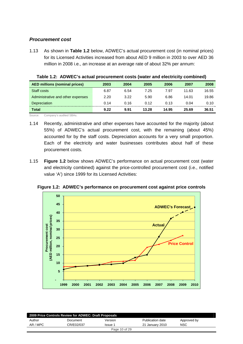#### *Procurement cost*

1.13 As shown in **Table 1.2** below, ADWEC's actual procurement cost (in nominal prices) for its Licensed Activities increased from about AED 9 million in 2003 to over AED 36 million in 2008 i.e., an increase at an average rate of about 32% per annum:

| <b>AED millions (nominal prices)</b> | 2003 | 2004 | 2005  | 2006  | 2007  | 2008  |
|--------------------------------------|------|------|-------|-------|-------|-------|
| Staff costs                          | 6.87 | 6.54 | 7.25  | 7.97  | 11.63 | 16.55 |
| Administrative and other expenses    | 2.20 | 3.22 | 5.90  | 6.86  | 14.01 | 19.86 |
| Depreciation                         | 0.14 | 0.16 | 0.12  | 0.13  | 0.04  | 0.10  |
| <b>Total</b>                         | 9.22 | 9.91 | 13.28 | 14.95 | 25.69 | 36.51 |

**Table 1.2: ADWEC's actual procurement costs (water and electricity combined)** 

Source: Company's audited SBAs.

- 1.14 Recently, administrative and other expenses have accounted for the majority (about 55%) of ADWEC's actual procurement cost, with the remaining (about 45%) accounted for by the staff costs. Depreciation accounts for a very small proportion. Each of the electricity and water businesses contributes about half of these procurement costs.
- 1.15 **Figure 1.2** below shows ADWEC's performance on actual procurement cost (water and electricity combined) against the price-controlled procurement cost (i.e., notified value 'A') since 1999 for its Licensed Activities:



**Figure 1.2: ADWEC's performance on procurement cost against price controls** 

| 2009 Price Controls Review for ADWEC: Draft Proposals |            |               |                  |             |  |
|-------------------------------------------------------|------------|---------------|------------------|-------------|--|
| Author                                                | Document   | Version       | Publication date | Approved by |  |
| AR / MPC                                              | CR/E02/037 | Issue 1       | 21 January 2010  | <b>NSC</b>  |  |
|                                                       |            | Page 10 of 29 |                  |             |  |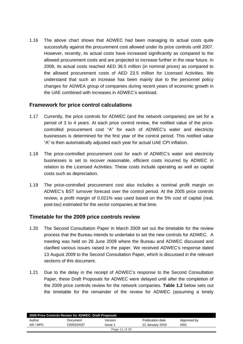1.16 The above chart shows that ADWEC had been managing its actual costs quite successfully against the procurement cost allowed under its price controls until 2007. However, recently, its actual costs have increased significantly as compared to the allowed procurement costs and are projected to increase further in the near future. In 2008, its actual costs reached AED 36.5 million (in nominal prices) as compared to the allowed procurement costs of AED 23.5 million for Licensed Activities. We understand that such an increase has been mainly due to the personnel policy changes for ADWEA group of companies during recent years of economic growth in the UAE combined with increases in ADWEC's workload.

## **Framework for price control calculations**

- 1.17 Currently, the price controls for ADWEC (and the network companies) are set for a period of 3 to 4 years. At each price control review, the notified value of the pricecontrolled procurement cost "A" for each of ADWEC's water and electricity businesses is determined for the first year of the control period. This notified value "A" is then automatically adjusted each year for actual UAE CPI inflation.
- 1.18 The price-controlled procurement cost for each of ADWEC's water and electricity businesses is set to recover reasonable, efficient costs incurred by ADWEC in relation to the Licensed Activities. These costs include operating as well as capital costs such as depreciation.
- 1.19 The price-controlled procurement cost also includes a nominal profit margin on ADWEC's BST turnover forecast over the control period. At the 2005 price controls review, a profit margin of 0.021% was used based on the 5% cost of capital (real, post-tax) estimated for the sector companies at that time.

#### **Timetable for the 2009 price controls review**

- 1.20 The Second Consultation Paper in March 2009 set out the timetable for the review process that the Bureau intends to undertake to set the new controls for ADWEC. A meeting was held on 28 June 2009 where the Bureau and ADWEC discussed and clarified various issues raised in the paper. We received ADWEC's response dated 13 August 2009 to the Second Consultation Paper, which is discussed in the relevant sections of this document.
- 1.21 Due to the delay in the receipt of ADWEC's response to the Second Consultation Paper, these Draft Proposals for ADWEC were delayed until after the completion of the 2009 price controls review for the network companies. **Table 1.2** below sets out the timetable for the remainder of the review for ADWEC (assuming a timely

|               | 2009 Price Controls Review for ADWEC: Draft Proposals |         |                  |             |  |
|---------------|-------------------------------------------------------|---------|------------------|-------------|--|
| Author        | Document                                              | Version | Publication date | Approved by |  |
| AR / MPC      | CR/E02/037                                            | Issue 1 | 21 January 2010  | <b>NSC</b>  |  |
| Page 11 of 29 |                                                       |         |                  |             |  |
|               |                                                       |         |                  |             |  |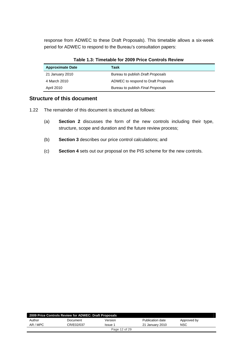response from ADWEC to these Draft Proposals). This timetable allows a six-week period for ADWEC to respond to the Bureau's consultation papers:

| <b>Approximate Date</b> | Task                                |
|-------------------------|-------------------------------------|
| 21 January 2010         | Bureau to publish Draft Proposals   |
| 4 March 2010            | ADWEC to respond to Draft Proposals |
| <b>April 2010</b>       | Bureau to publish Final Proposals   |

#### **Table 1.3: Timetable for 2009 Price Controls Review**

#### **Structure of this document**

- 1.22 The remainder of this document is structured as follows:
	- (a) **Section 2** discusses the form of the new controls including their type, structure, scope and duration and the future review process;
	- (b) **Section 3** describes our price control calculations; and
	- (c) **Section 4** sets out our proposal on the PIS scheme for the new controls.

| 2009 Price Controls Review for ADWEC: Draft Proposals |            |               |                  |             |  |
|-------------------------------------------------------|------------|---------------|------------------|-------------|--|
| Author                                                | Document   | Version       | Publication date | Approved by |  |
| AR / MPC                                              | CR/E02/037 | Issue 1       | 21 January 2010  | NSC         |  |
|                                                       |            | Page 12 of 29 |                  |             |  |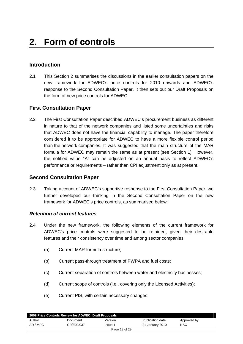# **Introduction**

2.1 This Section 2 summarises the discussions in the earlier consultation papers on the new framework for ADWEC's price controls for 2010 onwards and ADWEC's response to the Second Consultation Paper. It then sets out our Draft Proposals on the form of new price controls for ADWEC.

## **First Consultation Paper**

2.2 The First Consultation Paper described ADWEC's procurement business as different in nature to that of the network companies and listed some uncertainties and risks that ADWEC does not have the financial capability to manage. The paper therefore considered it to be appropriate for ADWEC to have a more flexible control period than the network companies. It was suggested that the main structure of the MAR formula for ADWEC may remain the same as at present (see Section 1). However, the notified value "A" can be adjusted on an annual basis to reflect ADWEC's performance or requirements – rather than CPI adjustment only as at present.

#### **Second Consultation Paper**

2.3 Taking account of ADWEC's supportive response to the First Consultation Paper, we further developed our thinking in the Second Consultation Paper on the new framework for ADWEC's price controls, as summarised below:

#### *Retention of current features*

- 2.4 Under the new framework, the following elements of the current framework for ADWEC's price controls were suggested to be retained, given their desirable features and their consistency over time and among sector companies:
	- (a) Current MAR formula structure;
	- (b) Current pass-through treatment of PWPA and fuel costs;
	- (c) Current separation of controls between water and electricity businesses;
	- (d) Current scope of controls (i.e., covering only the Licensed Activities);
	- (e) Current PIS, with certain necessary changes;

|          | 2009 Price Controls Review for ADWEC: Draft Proposals |               |                  |             |
|----------|-------------------------------------------------------|---------------|------------------|-------------|
| Author   | Document                                              | Version       | Publication date | Approved by |
| AR / MPC | CR/E02/037                                            | Issue 1       | 21 January 2010  | <b>NSC</b>  |
|          |                                                       | Page 13 of 29 |                  |             |
|          |                                                       |               |                  |             |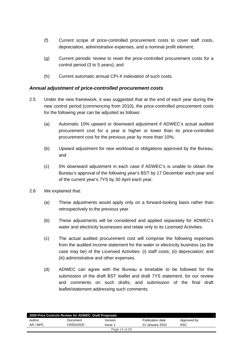- (f) Current scope of price-controlled procurement costs to cover staff costs, depreciation, administrative expenses, and a nominal profit element;
- (g) Current periodic review to reset the price-controlled procurement costs for a control period (3 to 5 years); and
- (h) Current automatic annual CPI-X indexation of such costs.

#### *Annual adjustment of price-controlled procurement costs*

- 2.5 Under the new framework, it was suggested that at the end of each year during the new control period (commencing from 2010), the price-controlled procurement costs for the following year can be adjusted as follows:
	- (a) Automatic 10% upward or downward adjustment if ADWEC's actual audited procurement cost for a year is higher or lower than its price-controlled procurement cost for the previous year by more than 10%;
	- (b) Upward adjustment for new workload or obligations approved by the Bureau; and
	- (c) 5% downward adjustment in each case if ADWEC's is unable to obtain the Bureau's approval of the following year's BST by 17 December each year and of the current year's 7YS by 30 April each year.
- 2.6 We explained that:
	- (a) These adjustments would apply only on a forward-looking basis rather than retrospectively to the previous year.
	- (b) These adjustments will be considered and applied separately for ADWEC's water and electricity businesses and relate only to its Licensed Activities.
	- (c) The actual audited procurement cost will comprise the following expenses from the audited income statement for the water or electricity business (as the case may be) of the Licensed Activities: (i) staff costs; (ii) depreciation; and (iii) administrative and other expenses.
	- (d) ADWEC can agree with the Bureau a timetable to be followed for the submission of the draft BST leaflet and draft 7YS statement, for our review and comments on such drafts, and submission of the final draft leaflet/statement addressing such comments.

| 2009 Price Controls Review for ADWEC: Draft Proposals |            |               |                  |             |  |  |
|-------------------------------------------------------|------------|---------------|------------------|-------------|--|--|
| Author                                                | Document   | Version       | Publication date | Approved by |  |  |
| AR / MPC                                              | CR/E02/037 | Issue 1       | 21 January 2010  | NSC         |  |  |
|                                                       |            | Page 14 of 29 |                  |             |  |  |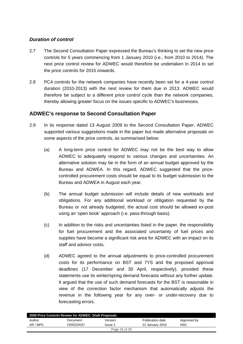#### *Duration of control*

- 2.7 The Second Consultation Paper expressed the Bureau's thinking to set the new price controls for 5 years commencing from 1 January 2010 (i.e., from 2010 to 2014). The next price control review for ADWEC would therefore be undertaken in 2014 to set the price controls for 2015 onwards.
- 2.8 PC4 controls for the network companies have recently been set for a 4-year control duration (2010-2013) with the next review for them due in 2013. ADWEC would therefore be subject to a different price control cycle than the network companies, thereby allowing greater focus on the issues specific to ADWEC's businesses.

## **ADWEC's response to Second Consultation Paper**

- 2.9 In its response dated 13 August 2009 to the Second Consultation Paper, ADWEC supported various suggestions made in the paper but made alternative proposals on some aspects of the price controls, as summarised below:
	- (a) A long-term price control for ADWEC may not be the best way to allow ADWEC to adequately respond to various changes and uncertainties. An alternative solution may be in the form of an annual budget approved by the Bureau and ADWEA. In this regard, ADWEC suggested that the pricecontrolled procurement costs should be equal to its budget submission to the Bureau and ADWEA in August each year.
	- (b) The annual budget submission will include details of new workloads and obligations. For any additional workload or obligation requested by the Bureau or not already budgeted, the actual cost should be allowed ex-post using an 'open book' approach (i.e. pass-through basis).
	- (c) In addition to the risks and uncertainties listed in the paper, the responsibility for fuel procurement and the associated uncertainty of fuel prices and supplies have become a significant risk area for ADWEC with an impact on its staff and advisor costs.
	- (d) ADWEC agreed to the annual adjustments to price-controlled procurement costs for its performance on BST and 7YS and the proposed approval deadlines (17 December and 30 April, respectively), provided these statements use its winter/spring demand forecasts without any further update. It argued that the use of such demand forecasts for the BST is reasonable in view of the correction factor mechanism that automatically adjusts the revenue in the following year for any over- or under-recovery due to forecasting errors.

| 2009 Price Controls Review for ADWEC: Draft Proposals |            |               |                  |             |  |
|-------------------------------------------------------|------------|---------------|------------------|-------------|--|
| Author                                                | Document   | Version       | Publication date | Approved by |  |
| AR / MPC                                              | CR/E02/037 | Issue 1       | 21 January 2010  | NSC         |  |
|                                                       |            | Page 15 of 29 |                  |             |  |
|                                                       |            |               |                  |             |  |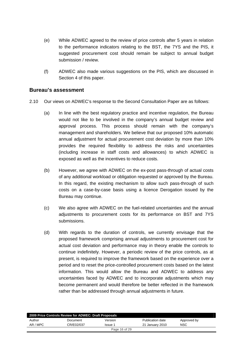- (e) While ADWEC agreed to the review of price controls after 5 years in relation to the performance indicators relating to the BST, the 7YS and the PIS, it suggested procurement cost should remain be subject to annual budget submission / review.
- (f) ADWEC also made various suggestions on the PIS, which are discussed in Section 4 of this paper.

#### **Bureau's assessment**

- 2.10 Our views on ADWEC's response to the Second Consultation Paper are as follows:
	- (a) In line with the best regulatory practice and incentive regulation, the Bureau would not like to be involved in the company's annual budget review and approval process. This process should remain with the company's management and shareholders. We believe that our proposed 10% automatic annual adjustment for actual procurement cost deviation by more than 10% provides the required flexibility to address the risks and uncertainties (including increase in staff costs and allowances) to which ADWEC is exposed as well as the incentives to reduce costs.
	- (b) However, we agree with ADWEC on the ex-post pass-through of actual costs of any additional workload or obligation requested or approved by the Bureau. In this regard, the existing mechanism to allow such pass-through of such costs on a case-by-case basis using a licence Derogation issued by the Bureau may continue.
	- (c) We also agree with ADWEC on the fuel-related uncertainties and the annual adjustments to procurement costs for its performance on BST and 7YS submissions.
	- (d) With regards to the duration of controls, we currently envisage that the proposed framework comprising annual adjustments to procurement cost for actual cost deviation and performance may in theory enable the controls to continue indefinitely. However, a periodic review of the price controls, as at present, is required to improve the framework based on the experience over a period and to reset the price-controlled procurement costs based on the latest information. This would allow the Bureau and ADWEC to address any uncertainties faced by ADWEC and to incorporate adjustments which may become permanent and would therefore be better reflected in the framework rather than be addressed through annual adjustments in future.

| 2009 Price Controls Review for ADWEC: Draft Proposals |            |               |                  |             |  |
|-------------------------------------------------------|------------|---------------|------------------|-------------|--|
| Author                                                | Document   | Version       | Publication date | Approved by |  |
| AR / MPC                                              | CR/E02/037 | Issue 1       | 21 January 2010  | <b>NSC</b>  |  |
|                                                       |            | Page 16 of 29 |                  |             |  |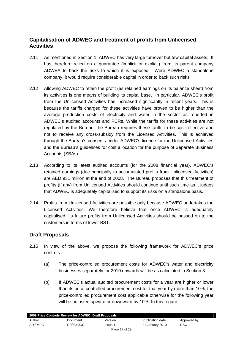# **Capitalisation of ADWEC and treatment of profits from Unlicensed Activities**

- 2.11 As mentioned in Section 1, ADWEC has very large turnover but few capital assets. It has therefore relied on a guarantee (implicit or explicit) from its parent company ADWEA to back the risks to which it is exposed. Were ADWEC a standalone company, it would require considerable capital in order to back such risks.
- 2.12 Allowing ADWEC to retain the profit (as retained earnings on its balance sheet) from its activities is one means of building its capital base. In particular, ADWEC's profit from the Unlicensed Activities has increased significantly in recent years. This is because the tariffs charged for these activities have proven to be higher than the average production costs of electricity and water in the sector as reported in ADWEC's audited accounts and PCRs. While the tariffs for these activities are not regulated by the Bureau, the Bureau requires these tariffs to be cost-reflective and not to receive any cross-subsidy from the Licensed Activities. This is achieved through the Bureau's consents under ADWEC's licence for the Unlicensed Activities and the Bureau's guidelines for cost allocation for the purpose of Separate Business Accounts (SBAs).
- 2.13 According to its latest audited accounts (for the 2008 financial year), ADWEC's retained earnings (due principally to accumulated profits from Unlicensed Activities) are AED 931 million at the end of 2008. The Bureau proposes that this treatment of profits (if any) from Unlicensed Activities should continue until such time as it judges that ADWEC is adequately capitalised to support its risks on a standalone basis.
- 2.14 Profits from Unlicensed Activities are possible only because ADWEC undertakes the Licensed Activities. We therefore believe that once ADWEC is adequately capitalised, its future profits from Unlicensed Activities should be passed on to the customers in terms of lower BST.

# **Draft Proposals**

- 2.15 In view of the above, we propose the following framework for ADWEC's price controls:
	- (a) The price-controlled procurement costs for ADWEC's water and electricity businesses separately for 2010 onwards will be as calculated in Section 3.
	- (b) If ADWEC's actual audited procurement costs for a year are higher or lower than its price-controlled procurement cost for that year by more than 10%, the price-controlled procurement cost applicable otherwise for the following year will be adjusted upward or downward by 10%. In this regard:

| 2009 Price Controls Review for ADWEC: Draft Proposals |            |         |                  |             |  |  |
|-------------------------------------------------------|------------|---------|------------------|-------------|--|--|
| Author                                                | Document   | Version | Publication date | Approved by |  |  |
| AR / MPC                                              | CR/E02/037 | Issue 1 | 21 January 2010  | NSC         |  |  |
| Page 17 of 29                                         |            |         |                  |             |  |  |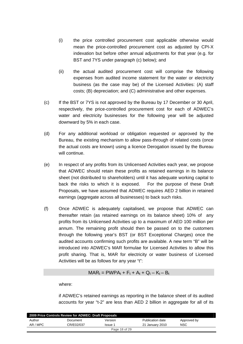- (i) the price controlled procurement cost applicable otherwise would mean the price-controlled procurement cost as adjusted by CPI-X indexation but before other annual adjustments for that year (e.g. for BST and 7YS under paragraph (c) below); and
- (ii) the actual audited procurement cost will comprise the following expenses from audited income statement for the water or electricity business (as the case may be) of the Licensed Activities: (A) staff costs; (B) depreciation; and (C) administrative and other expenses.
- (c) If the BST or 7YS is not approved by the Bureau by 17 December or 30 April, respectively, the price-controlled procurement cost for each of ADWEC's water and electricity businesses for the following year will be adjusted downward by 5% in each case.
- (d) For any additional workload or obligation requested or approved by the Bureau, the existing mechanism to allow pass-through of related costs (once the actual costs are known) using a licence Derogation issued by the Bureau will continue.
- (e) In respect of any profits from its Unlicensed Activities each year, we propose that ADWEC should retain these profits as retained earnings in its balance sheet (not distributed to shareholders) until it has adequate working capital to back the risks to which it is exposed. For the purpose of these Draft Proposals, we have assumed that ADWEC requires AED 2 billion in retained earnings (aggregate across all businesses) to back such risks.
- (f) Once ADWEC is adequately capitalised, we propose that ADWEC can thereafter retain (as retained earnings on its balance sheet) 10% of any profits from its Unlicensed Activities up to a maximum of AED 100 million per annum. The remaining profit should then be passed on to the customers through the following year's BST (or BST Exceptional Charges) once the audited accounts confirming such profits are available. A new term "B" will be introduced into ADWEC's MAR formulae for Licensed Activities to allow this profit sharing. That is, MAR for electricity or water business of Licensed Activities will be as follows for any year "t":

$$
MAR_t = PWPA_t + F_t + A_t + Q_t - K_t - B_t
$$

where:

if ADWEC's retained earnings as reporting in the balance sheet of its audited accounts for year "t-2" are less than AED 2 billion in aggregate for all of its

| 2009 Price Controls Review for ADWEC: Draft Proposals |            |         |                  |             |  |  |
|-------------------------------------------------------|------------|---------|------------------|-------------|--|--|
| Author                                                | Document   | Version | Publication date | Approved by |  |  |
| AR / MPC                                              | CR/E02/037 | Issue 1 | 21 January 2010  | <b>NSC</b>  |  |  |
| Page 18 of 29                                         |            |         |                  |             |  |  |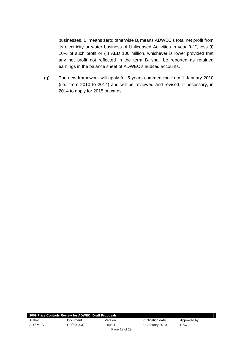businesses,  $B_t$  means zero; otherwise  $B_t$  means ADWEC's total net profit from its electricity or water business of Unlicensed Activities in year "t-1", less (i) 10% of such profit or (ii) AED 100 million, whichever is lower provided that any net profit not reflected in the term  $B_t$  shall be reported as retained earnings in the balance sheet of ADWEC's audited accounts.

(g) The new framework will apply for 5 years commencing from 1 January 2010 (i.e., from 2010 to 2014) and will be reviewed and revised, if necessary, in 2014 to apply for 2015 onwards.

| 2009 Price Controls Review for ADWEC: Draft Proposals |            |         |                  |             |  |  |
|-------------------------------------------------------|------------|---------|------------------|-------------|--|--|
| Author                                                | Document   | Version | Publication date | Approved by |  |  |
| AR / MPC                                              | CR/E02/037 | Issue 1 | 21 January 2010  | NSC         |  |  |
| Page 19 of 29                                         |            |         |                  |             |  |  |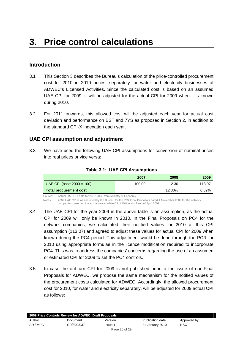#### **Introduction**

- 3.1 This Section 3 describes the Bureau's calculation of the price-controlled procurement cost for 2010 in 2010 prices, separately for water and electricity businesses of ADWEC's Licensed Activities. Since the calculated cost is based on an assumed UAE CPI for 2009, it will be adjusted for the actual CPI for 2009 when it is known during 2010.
- 3.2 For 2011 onwards, this allowed cost will be adjusted each year for actual cost deviation and performance on BST and 7YS as proposed in Section 2, in addition to the standard CPI-X indexation each year.

#### **UAE CPI assumption and adjustment**

3.3 We have used the following UAE CPI assumptions for conversion of nominal prices into real prices or vice versa:

|                              | 2007   | 2008   | 2009   |
|------------------------------|--------|--------|--------|
| UAE CPI (base $2000 = 100$ ) | 100.00 | 112.30 | 113.07 |
| Total procurement cost       |        | 12.30% | 0.69%  |

#### **Table 3.1: UAE CPI Assumptions**

Source: Actual UAE CPI data for 2007-2008 from Ministry of Economy.

Notes: 2009 UAE CPI is as assumed by the Bureau for the PC4 Final Proposals dated 4 November 2009 for the network companies based on the actual year-to-date CPI inflation as of end of April 2009.

- 3.4 The UAE CPI for the year 2009 in the above table is an assumption, as the actual CPI for 2009 will only be known in 2010. In the Final Proposals on PC4 for the network companies, we calculated their notified values for 2010 at this CPI assumption (113.07) and agreed to adjust these values for actual CPI for 2009 when
	- known during the PC4 period. This adjustment would be done through the PCR for 2010 using appropriate formulae in the licence modification required to incorporate PC4. This was to address the companies' concerns regarding the use of an assumed or estimated CPI for 2009 to set the PC4 controls.
- 3.5 In case the out-turn CPI for 2009 is not published prior to the issue of our Final Proposals for ADWEC, we propose the same mechanism for the notified values of the procurement costs calculated for ADWEC. Accordingly, the allowed procurement cost for 2010, for water and electricity separately, will be adjusted for 2009 actual CPI as follows:

| 2009 Price Controls Review for ADWEC: Draft Proposals |            |         |                  |             |  |  |
|-------------------------------------------------------|------------|---------|------------------|-------------|--|--|
| Author                                                | Document   | Version | Publication date | Approved by |  |  |
| AR / MPC                                              | CR/E02/037 | Issue 1 | 21 January 2010  | NSC         |  |  |
| Page 20 of 29                                         |            |         |                  |             |  |  |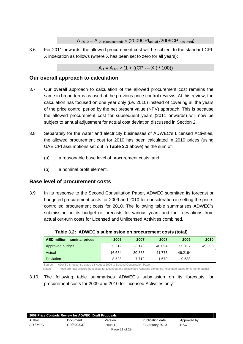$A_{2010} = A_{2010 \text{(calculated)}} \times (2009\text{CPI}_{\text{actual}}/2009\text{CPI}_{\text{assumed}})$ 

3.6 For 2011 onwards, the allowed procurement cost will be subject to the standard CPI-X indexation as follows (where X has been set to zero for all years):

 $A_1 = A_{t-1} \times (1 + ((CPI_t - X) / 100))$ 

#### **Our overall approach to calculation**

- 3.7 Our overall approach to calculation of the allowed procurement cost remains the same in broad terms as used at the previous price control reviews. At this review, the calculation has focused on one year only (i.e. 2010) instead of covering all the years of the price control period by the net present value (NPV) approach. This is because the allowed procurement cost for subsequent years (2011 onwards) will now be subject to annual adjustment for actual cost deviation discussed in Section 2.
- 3.8 Separately for the water and electricity businesses of ADWEC's Licensed Activities, the allowed procurement cost for 2010 has been calculated in 2010 prices (using UAE CPI assumptions set out in **Table 3.1** above) as the sum of:
	- (a) a reasonable base level of procurement costs; and
	- (b) a nominal profit element.

# **Base level of procurement costs**

3.9 In its response to the Second Consultation Paper, ADWEC submitted its forecast or budgeted procurement costs for 2009 and 2010 for consideration in setting the pricecontrolled procurement costs for 2010. The following table summarises ADWEC's submission on its budget or forecasts for various years and their deviations from actual out-turn costs for Licensed and Unlicensed Activities combined.

| AED million, nominal prices | 2006   | 2007   | 2008    | 2009    | 2010   |
|-----------------------------|--------|--------|---------|---------|--------|
| Approved budget             | 25.212 | 23.173 | 40.094  | 55.757  | 49.290 |
| Actual                      | 16.684 | 30.885 | 41.773  | 46.219* |        |
| <b>Deviation</b>            | 8.528  | -7 712 | $-1679$ | 9.538   |        |

**Table 3.2: ADWEC's submission on procurement costs (total)** 

Source: ADWEC's response dated 13 August 2009 to Second Consultation Paper.

Notes: These are total procurement costs for Licensed and Unlicensed Activities combined. \*estimate based on 6 month actual

#### 3.10 The following table summarises ADWEC's submission on its forecasts for procurement costs for 2009 and 2010 for Licensed Activities only:

| 2009 Price Controls Review for ADWEC: Draft Proposals |            |         |                         |             |  |  |
|-------------------------------------------------------|------------|---------|-------------------------|-------------|--|--|
| Author                                                | Document   | Version | <b>Publication date</b> | Approved by |  |  |
| AR / MPC                                              | CR/E02/037 | Issue 1 | 21 January 2010         | <b>NSC</b>  |  |  |
| Page 21 of 29                                         |            |         |                         |             |  |  |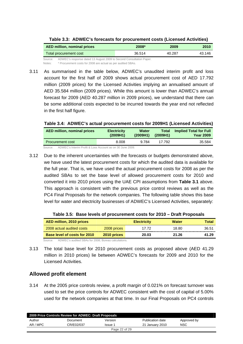| Table 3.3: ADWEC's forecasts for procurement costs (Licensed Activities) |  |  |
|--------------------------------------------------------------------------|--|--|
|--------------------------------------------------------------------------|--|--|

| AED million, nominal prices                                                    | 2008*  | 2009   | 2010   |
|--------------------------------------------------------------------------------|--------|--------|--------|
| Total procurement cost                                                         | 36.514 | 40.287 | 43.146 |
| ADWEC's response dated 13 August 2009 to Second Consultation Paper.<br>Source: |        |        |        |

Notes: \* Procurement costs for 2008 are actual as per audited SBAs.

3.11 As summarised in the table below, ADWEC's unaudited interim profit and loss account for the first half of 2009 shows actual procurement cost of AED 17.792 million (2009 prices) for the Licensed Activities implying an annualised amount of AED 35.584 million (2009 prices). While this amount is lower than ADWEC's annual forecast for 2009 (AED 40.287 million in 2009 prices), we understand that there can be some additional costs expected to be incurred towards the year end not reflected in the first half figure.

**Table 3.4: ADWEC's actual procurement costs for 2009H1 (Licensed Activities)** 

| AED million, nominal prices | <b>Electricity</b> | <b>Water</b> | Total    | <b>Implied Total for Full</b> |
|-----------------------------|--------------------|--------------|----------|-------------------------------|
|                             | (2009H1)           | (2009H1)     | (2009H1) | <b>Year 2009</b>              |
| <b>Procurement cost</b>     | 8.008              | 9.784        | 17.792   | 35.584                        |

Source: ADWEC's Interim Profit & Loss Account as on 30 June 2009.

3.12 Due to the inherent uncertainties with the forecasts or budgets demonstrated above, we have used the latest procurement costs for which the audited data is available for the full year. That is, we have used the actual procurement costs for 2008 as per the audited SBAs to set the base level of allowed procurement costs for 2010 and converted it into 2010 prices using the UAE CPI assumptions from **Table 3.1** above. This approach is consistent with the previous price control reviews as well as the PC4 Final Proposals for the network companies. The following table shows this base level for water and electricity businesses of ADWEC's Licensed Activities, separately:

|  |  | Table 3.5: Base levels of procurement costs for 2010 - Draft Proposals |
|--|--|------------------------------------------------------------------------|
|  |  |                                                                        |

| AED million, 2010 prices     |             | <b>Electricity</b> | <b>Water</b> | Total |
|------------------------------|-------------|--------------------|--------------|-------|
| 2008 actual audited costs    | 2008 prices | 17 72              | 18.80        | 36.51 |
| Base level of costs for 2010 | 2010 prices | 20.03              | 21.26        | 41.29 |

Source: ADWEC's audited SBAs for 2008; Bureau calculations.

3.13 The total base level for 2010 procurement costs as proposed above (AED 41.29 million in 2010 prices) lie between ADWEC's forecasts for 2009 and 2010 for the Licensed Activities.

#### **Allowed profit element**

3.14 At the 2005 price controls review, a profit margin of 0.021% on forecast turnover was used to set the price controls for ADWEC consistent with the cost of capital of 5.00% used for the network companies at that time. In our Final Proposals on PC4 controls

| 2009 Price Controls Review for ADWEC: Draft Proposals |            |               |                  |             |  |  |
|-------------------------------------------------------|------------|---------------|------------------|-------------|--|--|
| Author                                                | Document   | Version       | Publication date | Approved by |  |  |
| AR / MPC                                              | CR/E02/037 | Issue 1       | 21 January 2010  | NSC         |  |  |
|                                                       |            | Page 22 of 29 |                  |             |  |  |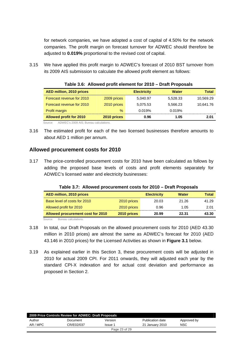for network companies, we have adopted a cost of capital of 4.50% for the network companies. The profit margin on forecast turnover for ADWEC should therefore be adjusted to **0.019%** proportional to the revised cost of capital.

3.15 We have applied this profit margin to ADWEC's forecast of 2010 BST turnover from its 2009 AIS submission to calculate the allowed profit element as follows:

| <b>AED million, 2010 prices</b> |             | <b>Electricity</b> | <b>Water</b> | Total     |
|---------------------------------|-------------|--------------------|--------------|-----------|
| Forecast revenue for 2010       | 2009 prices | 5,040.97           | 5,528.33     | 10,569.29 |
| Forecast revenue for 2010       | 2010 prices | 5.075.53           | 5.566.23     | 10,641.76 |
| Profit margin                   | $\%$        | 0.019%             | 0.019%       |           |
| <b>Allowed profit for 2010</b>  | 2010 prices | 0.96               | 1.05         | 2.01      |

**Table 3.6: Allowed profit element for 2010 – Draft Proposals** 

Source: ADWEC's 2009 AIS; Bureau calculations.

3.16 The estimated profit for each of the two licensed businesses therefore amounts to about AED 1 million per annum.

## **Allowed procurement costs for 2010**

3.17 The price-controlled procurement costs for 2010 have been calculated as follows by adding the proposed base levels of costs and profit elements separately for ADWEC's licensed water and electricity businesses:

| AED million, 2010 prices          |             | <b>Electricity</b> | <b>Water</b> | Total |
|-----------------------------------|-------------|--------------------|--------------|-------|
| Base level of costs for 2010      | 2010 prices | 20.03              | 21.26        | 41.29 |
| Allowed profit for 2010           | 2010 prices | 0.96               | 1.05         | 2.01  |
| Allowed procurement cost for 2010 | 2010 prices | 20.99              | 22.31        | 43.30 |
| Source:<br>Bureau calculations    |             |                    |              |       |

**Table 3.7: Allowed procurement costs for 2010 – Draft Proposals** 

3.18 In total, our Draft Proposals on the allowed procurement costs for 2010 (AED 43.30 million in 2010 prices) are almost the same as ADWEC's forecast for 2010 (AED 43.146 in 2010 prices) for the Licensed Activities as shown in **Figure 3.1** below.

3.19 As explained earlier in this Section 3, these procurement costs will be adjusted in 2010 for actual 2009 CPI. For 2011 onwards, they will adjusted each year by the standard CPI-X indexation and for actual cost deviation and performance as proposed in Section 2.

| 2009 Price Controls Review for ADWEC: Draft Proposals |            |               |                  |             |  |  |
|-------------------------------------------------------|------------|---------------|------------------|-------------|--|--|
| Author                                                | Document   | Version       | Publication date | Approved by |  |  |
| AR / MPC                                              | CR/E02/037 | Issue 1       | 21 January 2010  | <b>NSC</b>  |  |  |
|                                                       |            | Page 23 of 29 |                  |             |  |  |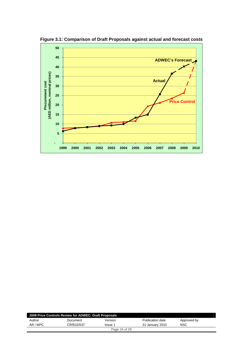

**Figure 3.1: Comparison of Draft Proposals against actual and forecast costs** 

| 2009 Price Controls Review for ADWEC: Draft Proposals |            |               |                  |             |  |  |
|-------------------------------------------------------|------------|---------------|------------------|-------------|--|--|
| Author                                                | Document   | Version       | Publication date | Approved by |  |  |
| AR / MPC                                              | CR/E02/037 | Issue 1       | 21 January 2010  | NSC         |  |  |
|                                                       |            | Page 24 of 29 |                  |             |  |  |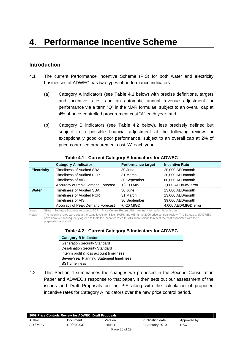## **Introduction**

- 4.1 The current Performance Incentive Scheme (PIS) for both water and electricity businesses of ADWEC has two types of performance indicators:
	- (a) Category A indicators (see **Table 4.1** below) with precise definitions, targets and incentive rates, and an automatic annual revenue adjustment for performance via a term "Q" in the MAR formulae, subject to an overall cap at 4% of price-controlled procurement cost "A" each year; and
	- (b) Category B indicators (see **Table 4.2** below), less precisely defined but subject to a possible financial adjustment at the following review for exceptionally good or poor performance, subject to an overall cap at 2% of price-controlled procurement cost "A" each year.

|                    | <b>Category A indicator</b>      | <b>Performance target</b> | <b>Incentive Rate</b> |
|--------------------|----------------------------------|---------------------------|-----------------------|
| <b>Electricity</b> | <b>Timeliness of Audited SBA</b> | 30 June                   | 20,000 AED/month      |
|                    | Timeliness of Audited PCR        | 31 March                  | 20,000 AED/month      |
|                    | Timeliness of AIS                | 30 September              | 60,000 AED/month      |
|                    | Accuracy of Peak Demand Forecast | $+/-100$ MW               | 1,000 AED/MW error    |
| Water              | Timeliness of Audited SBA        | 30 June                   | 13,000 AED/month      |
|                    | Timeliness of Audited PCR        | 31 March                  | 13,000 AED/month      |
|                    | Timeliness of AIS                | 30 September              | 39,000 AED/month      |
|                    | Accuracy of Peak Demand Forecast | $+/-20$ MIGD              | 4,000 AED/MIGD error  |

#### **Table 4.1: Current Category A Indicators for ADWEC**

Notes: SBAs = Separate Business Accounts; PCR = Price Control Return; AIS = Annual Information Submission

Notes: The incentive rates were set at the same levels for SBAs, PCRs and AIS at the 2005 price controls review. The Bureau and ADWEC have however subsequently agreed to triple the incentive rates for AIS submissions to reflect the cost associated with their preparation and audit.

|  | Table 4.2: Current Category B Indicators for ADWEC |  |
|--|----------------------------------------------------|--|
|--|----------------------------------------------------|--|

| <b>Category B Indicator</b>              |
|------------------------------------------|
| <b>Generation Security Standard</b>      |
| <b>Desalination Security Standard</b>    |
| Interim profit & loss account timeliness |
| Seven-Year Planning Statement timeliness |
| <b>BST</b> timeliness                    |

4.2 This Section 4 summarises the changes we proposed in the Second Consultation Paper and ADWEC's response to that paper. It then sets out our assessment of the issues and Draft Proposals on the PIS along with the calculation of proposed incentive rates for Category A indicators over the new price control period.

|          | 2009 Price Controls Review for ADWEC: Draft Proposals |               |                  |             |  |
|----------|-------------------------------------------------------|---------------|------------------|-------------|--|
| Author   | Document                                              | Version       | Publication date | Approved by |  |
| AR / MPC | CR/E02/037                                            | Issue 1       | 21 January 2010  | NSC         |  |
|          |                                                       | Page 25 of 29 |                  |             |  |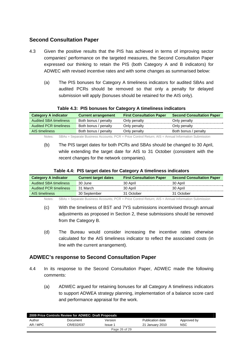# **Second Consultation Paper**

- 4.3 Given the positive results that the PIS has achieved in terms of improving sector companies' performance on the targeted measures, the Second Consultation Paper expressed our thinking to retain the PIS (both Category A and B indicators) for ADWEC with revised incentive rates and with some changes as summarised below:
	- (a) The PIS bonuses for Category A timeliness indicators for audited SBAs and audited PCRs should be removed so that only a penalty for delayed submission will apply (bonuses should be retained for the AIS only).

| <b>Category A indicator</b>   | <b>Current arrangement</b> | <b>First Consultation Paper</b> | <b>Second Consultation Paper</b> |
|-------------------------------|----------------------------|---------------------------------|----------------------------------|
| <b>Audited SBA timeliness</b> | Both bonus / penalty       | Only penalty                    | Only penalty                     |
| <b>Audited PCR timeliness</b> | Both bonus / penalty       | Only penalty                    | Only penalty                     |
| AIS timeliness                | Both bonus / penalty       | Only penalty                    | Both bonus / penalty             |
|                               |                            |                                 |                                  |

#### **Table 4.3: PIS bonuses for Category A timeliness indicators**

Notes: SBAs = Separate Business Accounts; PCR = Price Control Return; AIS = Annual Information Submission

(b) The PIS target dates for both PCRs and SBAs should be changed to 30 April, while extending the target date for AIS to 31 October (consistent with the recent changes for the network companies).

| Table 4.4: PIS target dates for Category A timeliness indicators |
|------------------------------------------------------------------|
|------------------------------------------------------------------|

| <b>Category A indicator</b>   | <b>Current target dates</b> | <b>First Consultation Paper</b> | <b>Second Consultation Paper</b> |
|-------------------------------|-----------------------------|---------------------------------|----------------------------------|
| <b>Audited SBA timeliness</b> | 30 June                     | 30 April                        | 30 April                         |
| <b>Audited PCR timeliness</b> | 31 March                    | 30 April                        | 30 April                         |
| AIS timeliness                | 30 September                | 31 October                      | 31 October                       |

Notes: SBAs = Separate Business Accounts; PCR = Price Control Return; AIS = Annual Information Submission

- (c) With the timeliness of BST and 7YS submissions incentivised through annual adjustments as proposed in Section 2, these submissions should be removed from the Category B.
- (d) The Bureau would consider increasing the incentive rates otherwise calculated for the AIS timeliness indicator to reflect the associated costs (in line with the current arrangement).

# **ADWEC's response to Second Consultation Paper**

- 4.4 In its response to the Second Consultation Paper, ADWEC made the following comments:
	- (a) ADWEC argued for retaining bonuses for all Category A timeliness indicators to support ADWEA strategy planning, implementation of a balance score card and performance appraisal for the work.

| 2009 Price Controls Review for ADWEC: Draft Proposals |            |         |                  |             |  |  |
|-------------------------------------------------------|------------|---------|------------------|-------------|--|--|
| Author                                                | Document   | Version | Publication date | Approved by |  |  |
| AR / MPC                                              | CR/E02/037 | Issue 1 | 21 January 2010  | <b>NSC</b>  |  |  |
| Page 26 of 29                                         |            |         |                  |             |  |  |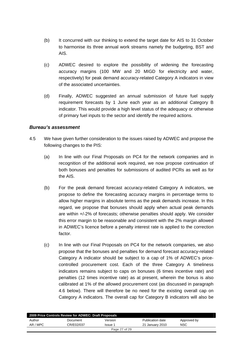- (b) It concurred with our thinking to extend the target date for AIS to 31 October to harmonise its three annual work streams namely the budgeting, BST and AIS.
- (c) ADWEC desired to explore the possibility of widening the forecasting accuracy margins (100 MW and 20 MIGD for electricity and water, respectively) for peak demand accuracy-related Category A indicators in view of the associated uncertainties.
- (d) Finally, ADWEC suggested an annual submission of future fuel supply requirement forecasts by 1 June each year as an additional Category B indicator. This would provide a high level status of the adequacy or otherwise of primary fuel inputs to the sector and identify the required actions.

#### *Bureau's assessment*

- 4.5 We have given further consideration to the issues raised by ADWEC and propose the following changes to the PIS:
	- (a) In line with our Final Proposals on PC4 for the network companies and in recognition of the additional work required, we now propose continuation of both bonuses and penalties for submissions of audited PCRs as well as for the AIS.
	- (b) For the peak demand forecast accuracy-related Category A indicators, we propose to define the forecasting accuracy margins in percentage terms to allow higher margins in absolute terms as the peak demands increase. In this regard, we propose that bonuses should apply when actual peak demands are within +/-2% of forecasts; otherwise penalties should apply. We consider this error margin to be reasonable and consistent with the 2% margin allowed in ADWEC's licence before a penalty interest rate is applied to the correction factor.
	- (c) In line with our Final Proposals on PC4 for the network companies, we also propose that the bonuses and penalties for demand forecast accuracy-related Category A indicator should be subject to a cap of 1% of ADWEC's pricecontrolled procurement cost. Each of the three Category A timeliness indicators remains subject to caps on bonuses (6 times incentive rate) and penalties (12 times incentive rate) as at present, wherein the bonus is also calibrated at 1% of the allowed procurement cost (as discussed in paragraph 4.6 below). There will therefore be no need for the existing overall cap on Category A indicators. The overall cap for Category B indicators will also be

| 2009 Price Controls Review for ADWEC: Draft Proposals |            |         |                  |             |  |  |  |
|-------------------------------------------------------|------------|---------|------------------|-------------|--|--|--|
| Author                                                | Document   | Version | Publication date | Approved by |  |  |  |
| AR / MPC                                              | CR/E02/037 | Issue 1 | 21 January 2010  | <b>NSC</b>  |  |  |  |
| Page 27 of 29                                         |            |         |                  |             |  |  |  |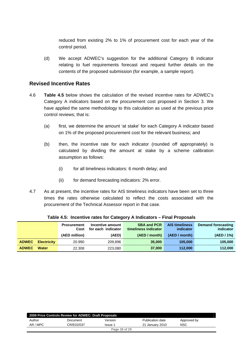reduced from existing 2% to 1% of procurement cost for each year of the control period.

(d) We accept ADWEC's suggestion for the additional Category B indicator relating to fuel requirements forecast and request further details on the contents of the proposed submission (for example, a sample report).

#### **Revised Incentive Rates**

- 4.6 **Table 4.5** below shows the calculation of the revised incentive rates for ADWEC's Category A indicators based on the procurement cost proposed in Section 3. We have applied the same methodology to this calculation as used at the previous price control reviews; that is:
	- (a) first, we determine the amount 'at stake' for each Category A indicator based on 1% of the proposed procurement cost for the relevant business; and
	- (b) then, the incentive rate for each indicator (rounded off appropriately) is calculated by dividing the amount at stake by a scheme calibration assumption as follows:
		- (i) for all timeliness indicators: 6 month delay; and
		- (ii) for demand forecasting indicators: 2% error.
- 4.7 As at present, the incentive rates for AIS timeliness indicators have been set to three times the rates otherwise calculated to reflect the costs associated with the procurement of the Technical Assessor report in that case.

|              |                    | <b>Procurement</b><br>Cost | Incentive amount<br>for each indicator | <b>SBA and PCR</b><br>timeliness indicator | <b>AIS timeliness</b><br>indicator | Demand forecasting<br>indicator |
|--------------|--------------------|----------------------------|----------------------------------------|--------------------------------------------|------------------------------------|---------------------------------|
|              |                    | (AED million)              | (AED)                                  | (AED / month)                              | (AED / month)                      | (AED / 1%)                      |
| <b>ADWEC</b> | <b>Electricity</b> | 20.990                     | 209.896                                | 35,000                                     | 105,000                            | 105,000                         |
| <b>ADWEC</b> | <b>Water</b>       | 22.308                     | 223,080                                | 37,000                                     | 112,000                            | 112,000                         |

**Table 4.5: Incentive rates for Category A Indicators – Final Proposals** 

| 2009 Price Controls Review for ADWEC: Draft Proposals |            |         |                  |             |  |  |  |
|-------------------------------------------------------|------------|---------|------------------|-------------|--|--|--|
| Author                                                | Document   | Version | Publication date | Approved by |  |  |  |
| AR / MPC                                              | CR/E02/037 | Issue 1 | 21 January 2010  | <b>NSC</b>  |  |  |  |
| Page 28 of 29                                         |            |         |                  |             |  |  |  |